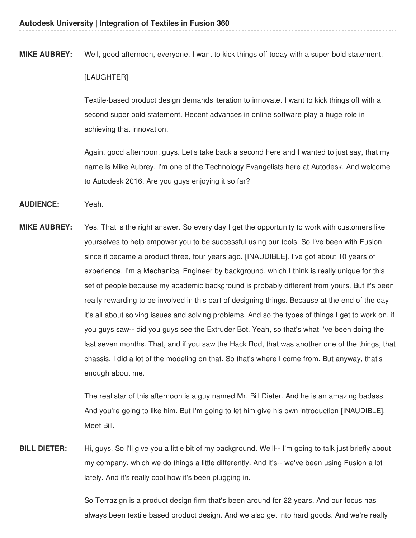**MIKE AUBREY:** Well, good afternoon, everyone. I want to kick things off today with a super bold statement.

### [LAUGHTER]

Textile-based product design demands iteration to innovate. I want to kick things off with a second super bold statement. Recent advances in online software play a huge role in achieving that innovation.

Again, good afternoon, guys. Let's take back a second here and I wanted to just say, that my name is Mike Aubrey. I'm one of the Technology Evangelists here at Autodesk. And welcome to Autodesk 2016. Are you guys enjoying it so far?

### **AUDIENCE:** Yeah.

**MIKE AUBREY:** Yes. That is the right answer. So every day I get the opportunity to work with customers like yourselves to help empower you to be successful using our tools. So I've been with Fusion since it became a product three, four years ago. [INAUDIBLE]. I've got about 10 years of experience. I'm a Mechanical Engineer by background, which I think is really unique for this set of people because my academic background is probably different from yours. But it's been really rewarding to be involved in this part of designing things. Because at the end of the day it's all about solving issues and solving problems. And so the types of things I get to work on, if you guys saw-- did you guys see the Extruder Bot. Yeah, so that's what I've been doing the last seven months. That, and if you saw the Hack Rod, that was another one of the things, that chassis, I did a lot of the modeling on that. So that's where I come from. But anyway, that's enough about me.

> The real star of this afternoon is a guy named Mr. Bill Dieter. And he is an amazing badass. And you're going to like him. But I'm going to let him give his own introduction [INAUDIBLE]. Meet Bill.

**BILL DIETER:** Hi, guys. So I'll give you a little bit of my background. We'll-- I'm going to talk just briefly about my company, which we do things a little differently. And it's-- we've been using Fusion a lot lately. And it's really cool how it's been plugging in.

> So Terrazign is a product design firm that's been around for 22 years. And our focus has always been textile based product design. And we also get into hard goods. And we're really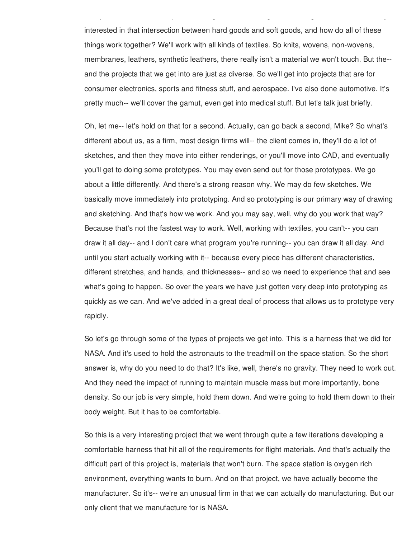interested in that intersection between hard goods and soft goods, and how do all of these things work together? We'll work with all kinds of textiles. So knits, wovens, non-wovens, membranes, leathers, synthetic leathers, there really isn't a material we won't touch. But the- and the projects that we get into are just as diverse. So we'll get into projects that are for consumer electronics, sports and fitness stuff, and aerospace. I've also done automotive. It's pretty much-- we'll cover the gamut, even get into medical stuff. But let's talk just briefly.

always been textile based product design. And we also get into hard goods. And we're really

Oh, let me-- let's hold on that for a second. Actually, can go back a second, Mike? So what's different about us, as a firm, most design firms will-- the client comes in, they'll do a lot of sketches, and then they move into either renderings, or you'll move into CAD, and eventually you'll get to doing some prototypes. You may even send out for those prototypes. We go about a little differently. And there's a strong reason why. We may do few sketches. We basically move immediately into prototyping. And so prototyping is our primary way of drawing and sketching. And that's how we work. And you may say, well, why do you work that way? Because that's not the fastest way to work. Well, working with textiles, you can't-- you can draw it all day-- and I don't care what program you're running-- you can draw it all day. And until you start actually working with it-- because every piece has different characteristics, different stretches, and hands, and thicknesses-- and so we need to experience that and see what's going to happen. So over the years we have just gotten very deep into prototyping as quickly as we can. And we've added in a great deal of process that allows us to prototype very rapidly.

So let's go through some of the types of projects we get into. This is a harness that we did for NASA. And it's used to hold the astronauts to the treadmill on the space station. So the short answer is, why do you need to do that? It's like, well, there's no gravity. They need to work out. And they need the impact of running to maintain muscle mass but more importantly, bone density. So our job is very simple, hold them down. And we're going to hold them down to their body weight. But it has to be comfortable.

So this is a very interesting project that we went through quite a few iterations developing a comfortable harness that hit all of the requirements for flight materials. And that's actually the difficult part of this project is, materials that won't burn. The space station is oxygen rich environment, everything wants to burn. And on that project, we have actually become the manufacturer. So it's-- we're an unusual firm in that we can actually do manufacturing. But our only client that we manufacture for is NASA.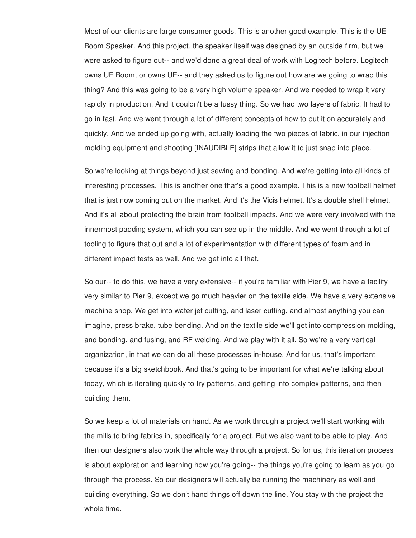Most of our clients are large consumer goods. This is another good example. This is the UE Boom Speaker. And this project, the speaker itself was designed by an outside firm, but we were asked to figure out-- and we'd done a great deal of work with Logitech before. Logitech owns UE Boom, or owns UE-- and they asked us to figure out how are we going to wrap this thing? And this was going to be a very high volume speaker. And we needed to wrap it very rapidly in production. And it couldn't be a fussy thing. So we had two layers of fabric. It had to go in fast. And we went through a lot of different concepts of how to put it on accurately and quickly. And we ended up going with, actually loading the two pieces of fabric, in our injection molding equipment and shooting [INAUDIBLE] strips that allow it to just snap into place.

So we're looking at things beyond just sewing and bonding. And we're getting into all kinds of interesting processes. This is another one that's a good example. This is a new football helmet that is just now coming out on the market. And it's the Vicis helmet. It's a double shell helmet. And it's all about protecting the brain from football impacts. And we were very involved with the innermost padding system, which you can see up in the middle. And we went through a lot of tooling to figure that out and a lot of experimentation with different types of foam and in different impact tests as well. And we get into all that.

So our-- to do this, we have a very extensive-- if you're familiar with Pier 9, we have a facility very similar to Pier 9, except we go much heavier on the textile side. We have a very extensive machine shop. We get into water jet cutting, and laser cutting, and almost anything you can imagine, press brake, tube bending. And on the textile side we'll get into compression molding, and bonding, and fusing, and RF welding. And we play with it all. So we're a very vertical organization, in that we can do all these processes in-house. And for us, that's important because it's a big sketchbook. And that's going to be important for what we're talking about today, which is iterating quickly to try patterns, and getting into complex patterns, and then building them.

So we keep a lot of materials on hand. As we work through a project we'll start working with the mills to bring fabrics in, specifically for a project. But we also want to be able to play. And then our designers also work the whole way through a project. So for us, this iteration process is about exploration and learning how you're going-- the things you're going to learn as you go through the process. So our designers will actually be running the machinery as well and building everything. So we don't hand things off down the line. You stay with the project the whole time.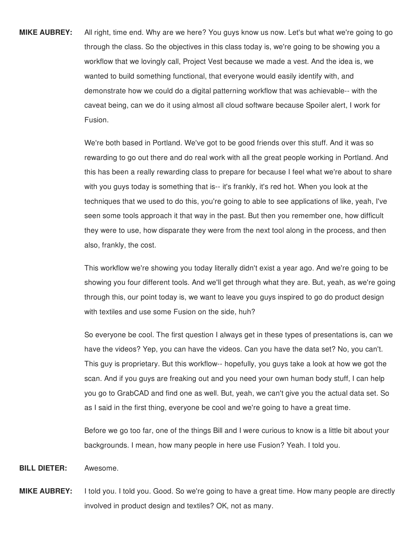**MIKE AUBREY:** All right, time end. Why are we here? You guys know us now. Let's but what we're going to go through the class. So the objectives in this class today is, we're going to be showing you a workflow that we lovingly call, Project Vest because we made a vest. And the idea is, we wanted to build something functional, that everyone would easily identify with, and demonstrate how we could do a digital patterning workflow that was achievable-- with the caveat being, can we do it using almost all cloud software because Spoiler alert, I work for Fusion.

> We're both based in Portland. We've got to be good friends over this stuff. And it was so rewarding to go out there and do real work with all the great people working in Portland. And this has been a really rewarding class to prepare for because I feel what we're about to share with you guys today is something that is-- it's frankly, it's red hot. When you look at the techniques that we used to do this, you're going to able to see applications of like, yeah, I've seen some tools approach it that way in the past. But then you remember one, how difficult they were to use, how disparate they were from the next tool along in the process, and then also, frankly, the cost.

This workflow we're showing you today literally didn't exist a year ago. And we're going to be showing you four different tools. And we'll get through what they are. But, yeah, as we're going through this, our point today is, we want to leave you guys inspired to go do product design with textiles and use some Fusion on the side, huh?

So everyone be cool. The first question I always get in these types of presentations is, can we have the videos? Yep, you can have the videos. Can you have the data set? No, you can't. This guy is proprietary. But this workflow-- hopefully, you guys take a look at how we got the scan. And if you guys are freaking out and you need your own human body stuff, I can help you go to GrabCAD and find one as well. But, yeah, we can't give you the actual data set. So as I said in the first thing, everyone be cool and we're going to have a great time.

Before we go too far, one of the things Bill and I were curious to know is a little bit about your backgrounds. I mean, how many people in here use Fusion? Yeah. I told you.

- **BILL DIETER:** Awesome.
- **MIKE AUBREY:** I told you. I told you. Good. So we're going to have a great time. How many people are directly involved in product design and textiles? OK, not as many.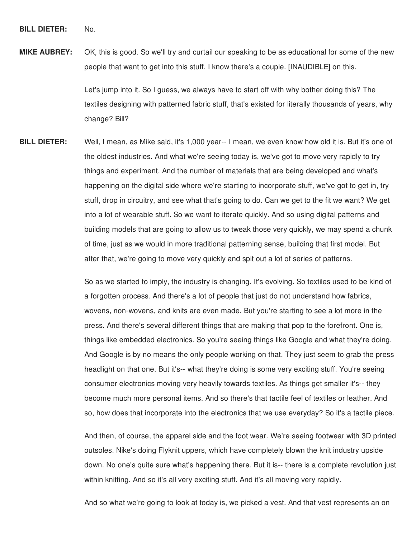**MIKE AUBREY:** OK, this is good. So we'll try and curtail our speaking to be as educational for some of the new people that want to get into this stuff. I know there's a couple. [INAUDIBLE] on this.

> Let's jump into it. So I guess, we always have to start off with why bother doing this? The textiles designing with patterned fabric stuff, that's existed for literally thousands of years, why change? Bill?

**BILL DIETER:** Well, I mean, as Mike said, it's 1,000 year-- I mean, we even know how old it is. But it's one of the oldest industries. And what we're seeing today is, we've got to move very rapidly to try things and experiment. And the number of materials that are being developed and what's happening on the digital side where we're starting to incorporate stuff, we've got to get in, try stuff, drop in circuitry, and see what that's going to do. Can we get to the fit we want? We get into a lot of wearable stuff. So we want to iterate quickly. And so using digital patterns and building models that are going to allow us to tweak those very quickly, we may spend a chunk of time, just as we would in more traditional patterning sense, building that first model. But after that, we're going to move very quickly and spit out a lot of series of patterns.

> So as we started to imply, the industry is changing. It's evolving. So textiles used to be kind of a forgotten process. And there's a lot of people that just do not understand how fabrics, wovens, non-wovens, and knits are even made. But you're starting to see a lot more in the press. And there's several different things that are making that pop to the forefront. One is, things like embedded electronics. So you're seeing things like Google and what they're doing. And Google is by no means the only people working on that. They just seem to grab the press headlight on that one. But it's-- what they're doing is some very exciting stuff. You're seeing consumer electronics moving very heavily towards textiles. As things get smaller it's-- they become much more personal items. And so there's that tactile feel of textiles or leather. And so, how does that incorporate into the electronics that we use everyday? So it's a tactile piece.

> And then, of course, the apparel side and the foot wear. We're seeing footwear with 3D printed outsoles. Nike's doing Flyknit uppers, which have completely blown the knit industry upside down. No one's quite sure what's happening there. But it is-- there is a complete revolution just within knitting. And so it's all very exciting stuff. And it's all moving very rapidly.

And so what we're going to look at today is, we picked a vest. And that vest represents an on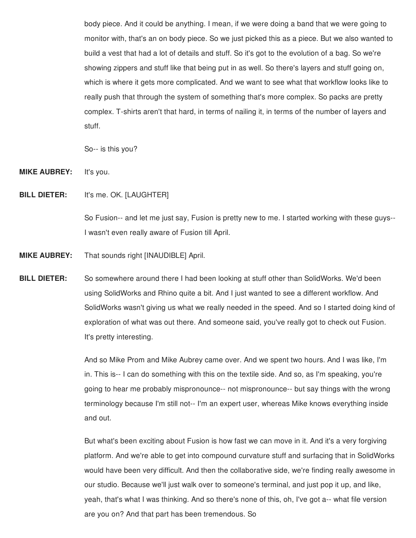body piece. And it could be anything. I mean, if we were doing a band that we were going to monitor with, that's an on body piece. So we just picked this as a piece. But we also wanted to build a vest that had a lot of details and stuff. So it's got to the evolution of a bag. So we're showing zippers and stuff like that being put in as well. So there's layers and stuff going on, which is where it gets more complicated. And we want to see what that workflow looks like to really push that through the system of something that's more complex. So packs are pretty complex. T-shirts aren't that hard, in terms of nailing it, in terms of the number of layers and stuff.

So-- is this you?

**MIKE AUBREY:** It's you.

**BILL DIETER:** It's me. OK. [LAUGHTER]

So Fusion-- and let me just say, Fusion is pretty new to me. I started working with these guys-- I wasn't even really aware of Fusion till April.

- **MIKE AUBREY:** That sounds right [INAUDIBLE] April.
- **BILL DIETER:** So somewhere around there I had been looking at stuff other than SolidWorks. We'd been using SolidWorks and Rhino quite a bit. And I just wanted to see a different workflow. And SolidWorks wasn't giving us what we really needed in the speed. And so I started doing kind of exploration of what was out there. And someone said, you've really got to check out Fusion. It's pretty interesting.

And so Mike Prom and Mike Aubrey came over. And we spent two hours. And I was like, I'm in. This is-- I can do something with this on the textile side. And so, as I'm speaking, you're going to hear me probably mispronounce-- not mispronounce-- but say things with the wrong terminology because I'm still not-- I'm an expert user, whereas Mike knows everything inside and out.

But what's been exciting about Fusion is how fast we can move in it. And it's a very forgiving platform. And we're able to get into compound curvature stuff and surfacing that in SolidWorks would have been very difficult. And then the collaborative side, we're finding really awesome in our studio. Because we'll just walk over to someone's terminal, and just pop it up, and like, yeah, that's what I was thinking. And so there's none of this, oh, I've got a-- what file version are you on? And that part has been tremendous. So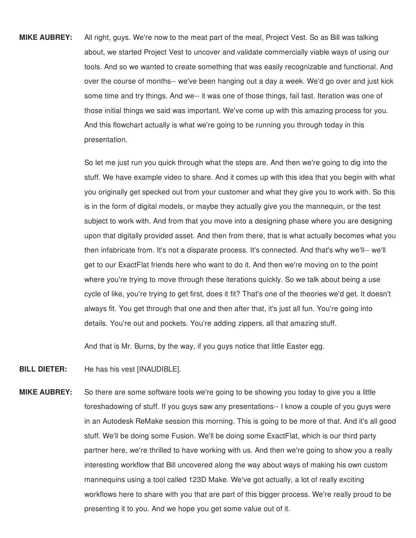**MIKE AUBREY:** All right, guys. We're now to the meat part of the meal, Project Vest. So as Bill was talking about, we started Project Vest to uncover and validate commercially viable ways of using our tools. And so we wanted to create something that was easily recognizable and functional. And over the course of months-- we've been hanging out a day a week. We'd go over and just kick some time and try things. And we-- it was one of those things, fail fast. Iteration was one of those initial things we said was important. We've come up with this amazing process for you. And this flowchart actually is what we're going to be running you through today in this presentation.

> So let me just run you quick through what the steps are. And then we're going to dig into the stuff. We have example video to share. And it comes up with this idea that you begin with what you originally get specked out from your customer and what they give you to work with. So this is in the form of digital models, or maybe they actually give you the mannequin, or the test subject to work with. And from that you move into a designing phase where you are designing upon that digitally provided asset. And then from there, that is what actually becomes what you then infabricate from. It's not a disparate process. It's connected. And that's why we'll-- we'll get to our ExactFlat friends here who want to do it. And then we're moving on to the point where you're trying to move through these iterations quickly. So we talk about being a use cycle of like, you're trying to get first, does it fit? That's one of the theories we'd get. It doesn't always fit. You get through that one and then after that, it's just all fun. You're going into details. You're out and pockets. You're adding zippers, all that amazing stuff.

And that is Mr. Burns, by the way, if you guys notice that little Easter egg.

- **BILL DIETER:** He has his vest [INAUDIBLE].
- **MIKE AUBREY:** So there are some software tools we're going to be showing you today to give you a little foreshadowing of stuff. If you guys saw any presentations-- I know a couple of you guys were in an Autodesk ReMake session this morning. This is going to be more of that. And it's all good stuff. We'll be doing some Fusion. We'll be doing some ExactFlat, which is our third party partner here, we're thrilled to have working with us. And then we're going to show you a really interesting workflow that Bill uncovered along the way about ways of making his own custom mannequins using a tool called 123D Make. We've got actually, a lot of really exciting workflows here to share with you that are part of this bigger process. We're really proud to be presenting it to you. And we hope you get some value out of it.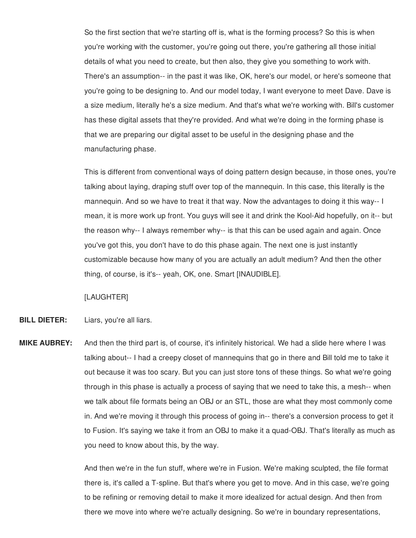So the first section that we're starting off is, what is the forming process? So this is when you're working with the customer, you're going out there, you're gathering all those initial details of what you need to create, but then also, they give you something to work with. There's an assumption-- in the past it was like, OK, here's our model, or here's someone that you're going to be designing to. And our model today, I want everyone to meet Dave. Dave is a size medium, literally he's a size medium. And that's what we're working with. Bill's customer has these digital assets that they're provided. And what we're doing in the forming phase is that we are preparing our digital asset to be useful in the designing phase and the manufacturing phase.

This is different from conventional ways of doing pattern design because, in those ones, you're talking about laying, draping stuff over top of the mannequin. In this case, this literally is the mannequin. And so we have to treat it that way. Now the advantages to doing it this way-- I mean, it is more work up front. You guys will see it and drink the Kool-Aid hopefully, on it-- but the reason why-- I always remember why-- is that this can be used again and again. Once you've got this, you don't have to do this phase again. The next one is just instantly customizable because how many of you are actually an adult medium? And then the other thing, of course, is it's-- yeah, OK, one. Smart [INAUDIBLE].

## [LAUGHTER]

- **BILL DIETER:** Liars, you're all liars.
- **MIKE AUBREY:** And then the third part is, of course, it's infinitely historical. We had a slide here where I was talking about-- I had a creepy closet of mannequins that go in there and Bill told me to take it out because it was too scary. But you can just store tons of these things. So what we're going through in this phase is actually a process of saying that we need to take this, a mesh-- when we talk about file formats being an OBJ or an STL, those are what they most commonly come in. And we're moving it through this process of going in-- there's a conversion process to get it to Fusion. It's saying we take it from an OBJ to make it a quad-OBJ. That's literally as much as you need to know about this, by the way.

And then we're in the fun stuff, where we're in Fusion. We're making sculpted, the file format there is, it's called a T-spline. But that's where you get to move. And in this case, we're going to be refining or removing detail to make it more idealized for actual design. And then from there we move into where we're actually designing. So we're in boundary representations,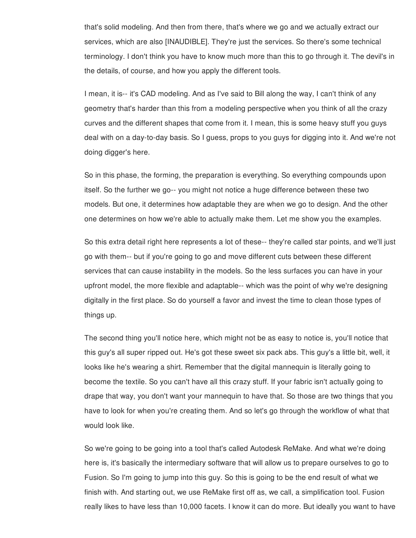that's solid modeling. And then from there, that's where we go and we actually extract our services, which are also [INAUDIBLE]. They're just the services. So there's some technical terminology. I don't think you have to know much more than this to go through it. The devil's in the details, of course, and how you apply the different tools.

I mean, it is-- it's CAD modeling. And as I've said to Bill along the way, I can't think of any geometry that's harder than this from a modeling perspective when you think of all the crazy curves and the different shapes that come from it. I mean, this is some heavy stuff you guys deal with on a day-to-day basis. So I guess, props to you guys for digging into it. And we're not doing digger's here.

So in this phase, the forming, the preparation is everything. So everything compounds upon itself. So the further we go-- you might not notice a huge difference between these two models. But one, it determines how adaptable they are when we go to design. And the other one determines on how we're able to actually make them. Let me show you the examples.

So this extra detail right here represents a lot of these-- they're called star points, and we'll just go with them-- but if you're going to go and move different cuts between these different services that can cause instability in the models. So the less surfaces you can have in your upfront model, the more flexible and adaptable-- which was the point of why we're designing digitally in the first place. So do yourself a favor and invest the time to clean those types of things up.

The second thing you'll notice here, which might not be as easy to notice is, you'll notice that this guy's all super ripped out. He's got these sweet six pack abs. This guy's a little bit, well, it looks like he's wearing a shirt. Remember that the digital mannequin is literally going to become the textile. So you can't have all this crazy stuff. If your fabric isn't actually going to drape that way, you don't want your mannequin to have that. So those are two things that you have to look for when you're creating them. And so let's go through the workflow of what that would look like.

So we're going to be going into a tool that's called Autodesk ReMake. And what we're doing here is, it's basically the intermediary software that will allow us to prepare ourselves to go to Fusion. So I'm going to jump into this guy. So this is going to be the end result of what we finish with. And starting out, we use ReMake first off as, we call, a simplification tool. Fusion really likes to have less than 10,000 facets. I know it can do more. But ideally you want to have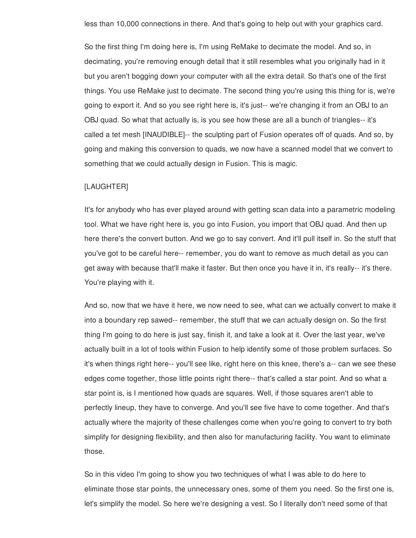less than 10,000 connections in there. And that's going to help out with your graphics card.

So the first thing I'm doing here is, I'm using ReMake to decimate the model. And so, in decimating, you're removing enough detail that it still resembles what you originally had in it but you aren't bogging down your computer with all the extra detail. So that's one of the first things. You use ReMake just to decimate. The second thing you're using this thing for is, we're going to export it. And so you see right here is, it's just-- we're changing it from an OBJ to an OBJ quad. So what that actually is, is you see how these are all a bunch of triangles-- it's called a tet mesh [INAUDIBLE]-- the sculpting part of Fusion operates off of quads. And so, by going and making this conversion to quads, we now have a scanned model that we convert to something that we could actually design in Fusion. This is magic.

### [LAUGHTER]

It's for anybody who has ever played around with getting scan data into a parametric modeling tool. What we have right here is, you go into Fusion, you import that OBJ quad. And then up here there's the convert button. And we go to say convert. And it'll pull itself in. So the stuff that you've got to be careful here-- remember, you do want to remove as much detail as you can get away with because that'll make it faster. But then once you have it in, it's really-- it's there. You're playing with it.

And so, now that we have it here, we now need to see, what can we actually convert to make it into a boundary rep sawed-- remember, the stuff that we can actually design on. So the first thing I'm going to do here is just say, finish it, and take a look at it. Over the last year, we've actually built in a lot of tools within Fusion to help identify some of those problem surfaces. So it's when things right here-- you'll see like, right here on this knee, there's a-- can we see these edges come together, those little points right there-- that's called a star point. And so what a star point is, is I mentioned how quads are squares. Well, if those squares aren't able to perfectly lineup, they have to converge. And you'll see five have to come together. And that's actually where the majority of these challenges come when you're going to convert to try both simplify for designing flexibility, and then also for manufacturing facility. You want to eliminate those.

So in this video I'm going to show you two techniques of what I was able to do here to eliminate those star points, the unnecessary ones, some of them you need. So the first one is, let's simplify the model. So here we're designing a vest. So I literally don't need some of that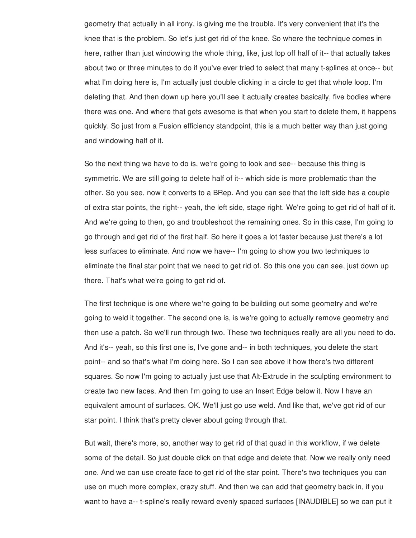geometry that actually in all irony, is giving me the trouble. It's very convenient that it's the knee that is the problem. So let's just get rid of the knee. So where the technique comes in here, rather than just windowing the whole thing, like, just lop off half of it-- that actually takes about two or three minutes to do if you've ever tried to select that many t-splines at once-- but what I'm doing here is, I'm actually just double clicking in a circle to get that whole loop. I'm deleting that. And then down up here you'll see it actually creates basically, five bodies where there was one. And where that gets awesome is that when you start to delete them, it happens quickly. So just from a Fusion efficiency standpoint, this is a much better way than just going and windowing half of it.

So the next thing we have to do is, we're going to look and see-- because this thing is symmetric. We are still going to delete half of it-- which side is more problematic than the other. So you see, now it converts to a BRep. And you can see that the left side has a couple of extra star points, the right-- yeah, the left side, stage right. We're going to get rid of half of it. And we're going to then, go and troubleshoot the remaining ones. So in this case, I'm going to go through and get rid of the first half. So here it goes a lot faster because just there's a lot less surfaces to eliminate. And now we have-- I'm going to show you two techniques to eliminate the final star point that we need to get rid of. So this one you can see, just down up there. That's what we're going to get rid of.

The first technique is one where we're going to be building out some geometry and we're going to weld it together. The second one is, is we're going to actually remove geometry and then use a patch. So we'll run through two. These two techniques really are all you need to do. And it's-- yeah, so this first one is, I've gone and-- in both techniques, you delete the start point-- and so that's what I'm doing here. So I can see above it how there's two different squares. So now I'm going to actually just use that Alt-Extrude in the sculpting environment to create two new faces. And then I'm going to use an Insert Edge below it. Now I have an equivalent amount of surfaces. OK. We'll just go use weld. And like that, we've got rid of our star point. I think that's pretty clever about going through that.

But wait, there's more, so, another way to get rid of that quad in this workflow, if we delete some of the detail. So just double click on that edge and delete that. Now we really only need one. And we can use create face to get rid of the star point. There's two techniques you can use on much more complex, crazy stuff. And then we can add that geometry back in, if you want to have a-- t-spline's really reward evenly spaced surfaces [INAUDIBLE] so we can put it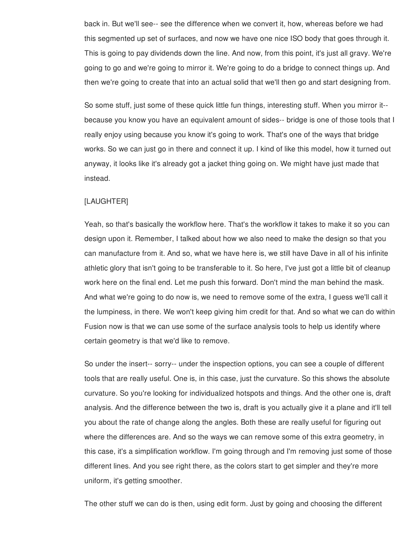back in. But we'll see-- see the difference when we convert it, how, whereas before we had this segmented up set of surfaces, and now we have one nice ISO body that goes through it. This is going to pay dividends down the line. And now, from this point, it's just all gravy. We're going to go and we're going to mirror it. We're going to do a bridge to connect things up. And then we're going to create that into an actual solid that we'll then go and start designing from.

So some stuff, just some of these quick little fun things, interesting stuff. When you mirror it- because you know you have an equivalent amount of sides-- bridge is one of those tools that I really enjoy using because you know it's going to work. That's one of the ways that bridge works. So we can just go in there and connect it up. I kind of like this model, how it turned out anyway, it looks like it's already got a jacket thing going on. We might have just made that instead.

## [LAUGHTER]

Yeah, so that's basically the workflow here. That's the workflow it takes to make it so you can design upon it. Remember, I talked about how we also need to make the design so that you can manufacture from it. And so, what we have here is, we still have Dave in all of his infinite athletic glory that isn't going to be transferable to it. So here, I've just got a little bit of cleanup work here on the final end. Let me push this forward. Don't mind the man behind the mask. And what we're going to do now is, we need to remove some of the extra, I guess we'll call it the lumpiness, in there. We won't keep giving him credit for that. And so what we can do within Fusion now is that we can use some of the surface analysis tools to help us identify where certain geometry is that we'd like to remove.

So under the insert-- sorry-- under the inspection options, you can see a couple of different tools that are really useful. One is, in this case, just the curvature. So this shows the absolute curvature. So you're looking for individualized hotspots and things. And the other one is, draft analysis. And the difference between the two is, draft is you actually give it a plane and it'll tell you about the rate of change along the angles. Both these are really useful for figuring out where the differences are. And so the ways we can remove some of this extra geometry, in this case, it's a simplification workflow. I'm going through and I'm removing just some of those different lines. And you see right there, as the colors start to get simpler and they're more uniform, it's getting smoother.

The other stuff we can do is then, using edit form. Just by going and choosing the different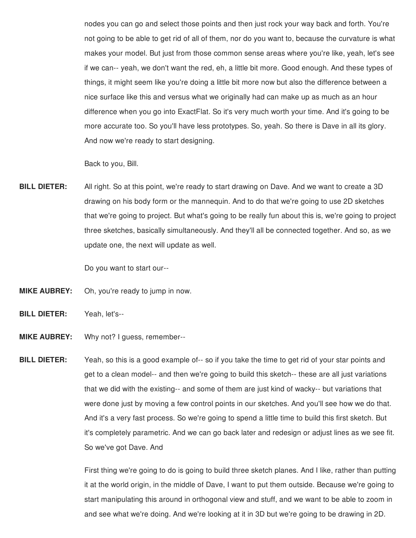nodes you can go and select those points and then just rock your way back and forth. You're not going to be able to get rid of all of them, nor do you want to, because the curvature is what makes your model. But just from those common sense areas where you're like, yeah, let's see if we can-- yeah, we don't want the red, eh, a little bit more. Good enough. And these types of things, it might seem like you're doing a little bit more now but also the difference between a nice surface like this and versus what we originally had can make up as much as an hour difference when you go into ExactFlat. So it's very much worth your time. And it's going to be more accurate too. So you'll have less prototypes. So, yeah. So there is Dave in all its glory. And now we're ready to start designing.

Back to you, Bill.

**BILL DIETER:** All right. So at this point, we're ready to start drawing on Dave. And we want to create a 3D drawing on his body form or the mannequin. And to do that we're going to use 2D sketches that we're going to project. But what's going to be really fun about this is, we're going to project three sketches, basically simultaneously. And they'll all be connected together. And so, as we update one, the next will update as well.

Do you want to start our--

- **MIKE AUBREY:** Oh, you're ready to jump in now.
- **BILL DIETER:** Yeah, let's--
- **MIKE AUBREY:** Why not? I guess, remember--
- **BILL DIETER:** Yeah, so this is a good example of-- so if you take the time to get rid of your star points and get to a clean model-- and then we're going to build this sketch-- these are all just variations that we did with the existing-- and some of them are just kind of wacky-- but variations that were done just by moving a few control points in our sketches. And you'll see how we do that. And it's a very fast process. So we're going to spend a little time to build this first sketch. But it's completely parametric. And we can go back later and redesign or adjust lines as we see fit. So we've got Dave. And

First thing we're going to do is going to build three sketch planes. And I like, rather than putting it at the world origin, in the middle of Dave, I want to put them outside. Because we're going to start manipulating this around in orthogonal view and stuff, and we want to be able to zoom in and see what we're doing. And we're looking at it in 3D but we're going to be drawing in 2D.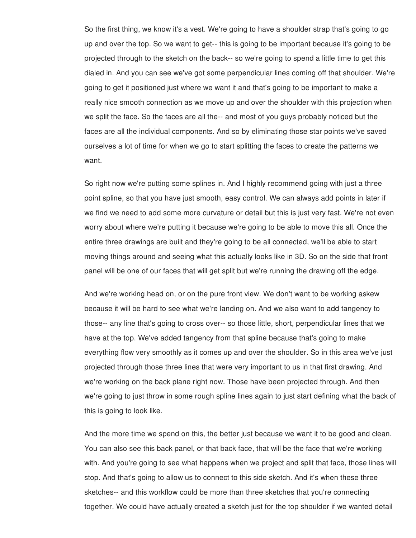So the first thing, we know it's a vest. We're going to have a shoulder strap that's going to go up and over the top. So we want to get-- this is going to be important because it's going to be projected through to the sketch on the back-- so we're going to spend a little time to get this dialed in. And you can see we've got some perpendicular lines coming off that shoulder. We're going to get it positioned just where we want it and that's going to be important to make a really nice smooth connection as we move up and over the shoulder with this projection when we split the face. So the faces are all the-- and most of you guys probably noticed but the faces are all the individual components. And so by eliminating those star points we've saved ourselves a lot of time for when we go to start splitting the faces to create the patterns we want.

So right now we're putting some splines in. And I highly recommend going with just a three point spline, so that you have just smooth, easy control. We can always add points in later if we find we need to add some more curvature or detail but this is just very fast. We're not even worry about where we're putting it because we're going to be able to move this all. Once the entire three drawings are built and they're going to be all connected, we'll be able to start moving things around and seeing what this actually looks like in 3D. So on the side that front panel will be one of our faces that will get split but we're running the drawing off the edge.

And we're working head on, or on the pure front view. We don't want to be working askew because it will be hard to see what we're landing on. And we also want to add tangency to those-- any line that's going to cross over-- so those little, short, perpendicular lines that we have at the top. We've added tangency from that spline because that's going to make everything flow very smoothly as it comes up and over the shoulder. So in this area we've just projected through those three lines that were very important to us in that first drawing. And we're working on the back plane right now. Those have been projected through. And then we're going to just throw in some rough spline lines again to just start defining what the back of this is going to look like.

And the more time we spend on this, the better just because we want it to be good and clean. You can also see this back panel, or that back face, that will be the face that we're working with. And you're going to see what happens when we project and split that face, those lines will stop. And that's going to allow us to connect to this side sketch. And it's when these three sketches-- and this workflow could be more than three sketches that you're connecting together. We could have actually created a sketch just for the top shoulder if we wanted detail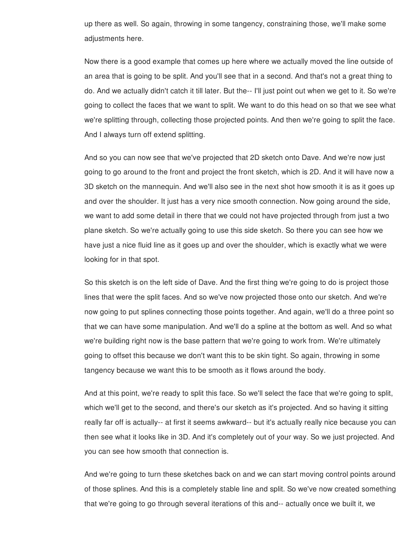up there as well. So again, throwing in some tangency, constraining those, we'll make some adjustments here.

Now there is a good example that comes up here where we actually moved the line outside of an area that is going to be split. And you'll see that in a second. And that's not a great thing to do. And we actually didn't catch it till later. But the-- I'll just point out when we get to it. So we're going to collect the faces that we want to split. We want to do this head on so that we see what we're splitting through, collecting those projected points. And then we're going to split the face. And I always turn off extend splitting.

And so you can now see that we've projected that 2D sketch onto Dave. And we're now just going to go around to the front and project the front sketch, which is 2D. And it will have now a 3D sketch on the mannequin. And we'll also see in the next shot how smooth it is as it goes up and over the shoulder. It just has a very nice smooth connection. Now going around the side, we want to add some detail in there that we could not have projected through from just a two plane sketch. So we're actually going to use this side sketch. So there you can see how we have just a nice fluid line as it goes up and over the shoulder, which is exactly what we were looking for in that spot.

So this sketch is on the left side of Dave. And the first thing we're going to do is project those lines that were the split faces. And so we've now projected those onto our sketch. And we're now going to put splines connecting those points together. And again, we'll do a three point so that we can have some manipulation. And we'll do a spline at the bottom as well. And so what we're building right now is the base pattern that we're going to work from. We're ultimately going to offset this because we don't want this to be skin tight. So again, throwing in some tangency because we want this to be smooth as it flows around the body.

And at this point, we're ready to split this face. So we'll select the face that we're going to split, which we'll get to the second, and there's our sketch as it's projected. And so having it sitting really far off is actually-- at first it seems awkward-- but it's actually really nice because you can then see what it looks like in 3D. And it's completely out of your way. So we just projected. And you can see how smooth that connection is.

And we're going to turn these sketches back on and we can start moving control points around of those splines. And this is a completely stable line and split. So we've now created something that we're going to go through several iterations of this and-- actually once we built it, we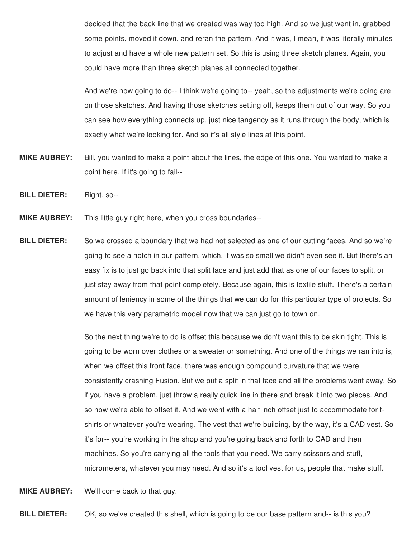decided that the back line that we created was way too high. And so we just went in, grabbed some points, moved it down, and reran the pattern. And it was, I mean, it was literally minutes to adjust and have a whole new pattern set. So this is using three sketch planes. Again, you could have more than three sketch planes all connected together.

And we're now going to do-- I think we're going to-- yeah, so the adjustments we're doing are on those sketches. And having those sketches setting off, keeps them out of our way. So you can see how everything connects up, just nice tangency as it runs through the body, which is exactly what we're looking for. And so it's all style lines at this point.

- **MIKE AUBREY:** Bill, you wanted to make a point about the lines, the edge of this one. You wanted to make a point here. If it's going to fail--
- **BILL DIETER:** Right, so--
- **MIKE AUBREY:** This little guy right here, when you cross boundaries--
- **BILL DIETER:** So we crossed a boundary that we had not selected as one of our cutting faces. And so we're going to see a notch in our pattern, which, it was so small we didn't even see it. But there's an easy fix is to just go back into that split face and just add that as one of our faces to split, or just stay away from that point completely. Because again, this is textile stuff. There's a certain amount of leniency in some of the things that we can do for this particular type of projects. So we have this very parametric model now that we can just go to town on.

So the next thing we're to do is offset this because we don't want this to be skin tight. This is going to be worn over clothes or a sweater or something. And one of the things we ran into is, when we offset this front face, there was enough compound curvature that we were consistently crashing Fusion. But we put a split in that face and all the problems went away. So if you have a problem, just throw a really quick line in there and break it into two pieces. And so now we're able to offset it. And we went with a half inch offset just to accommodate for tshirts or whatever you're wearing. The vest that we're building, by the way, it's a CAD vest. So it's for-- you're working in the shop and you're going back and forth to CAD and then machines. So you're carrying all the tools that you need. We carry scissors and stuff, micrometers, whatever you may need. And so it's a tool vest for us, people that make stuff.

**MIKE AUBREY:** We'll come back to that guy.

**BILL DIETER:** OK, so we've created this shell, which is going to be our base pattern and-- is this you?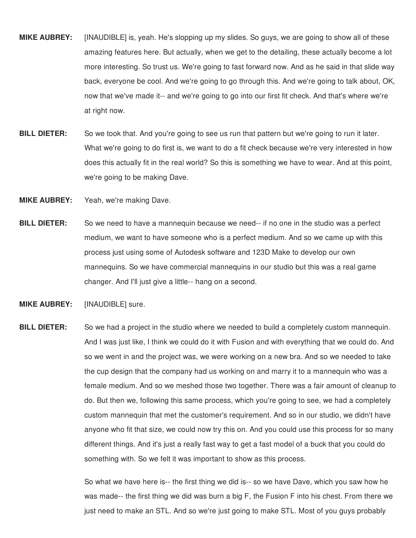- **MIKE AUBREY:** [INAUDIBLE] is, yeah. He's slopping up my slides. So guys, we are going to show all of these amazing features here. But actually, when we get to the detailing, these actually become a lot more interesting. So trust us. We're going to fast forward now. And as he said in that slide way back, everyone be cool. And we're going to go through this. And we're going to talk about, OK, now that we've made it-- and we're going to go into our first fit check. And that's where we're at right now.
- **BILL DIETER:** So we took that. And you're going to see us run that pattern but we're going to run it later. What we're going to do first is, we want to do a fit check because we're very interested in how does this actually fit in the real world? So this is something we have to wear. And at this point, we're going to be making Dave.
- **MIKE AUBREY:** Yeah, we're making Dave.
- **BILL DIETER:** So we need to have a mannequin because we need-- if no one in the studio was a perfect medium, we want to have someone who is a perfect medium. And so we came up with this process just using some of Autodesk software and 123D Make to develop our own mannequins. So we have commercial mannequins in our studio but this was a real game changer. And I'll just give a little-- hang on a second.
- **MIKE AUBREY:** [INAUDIBLE] sure.
- **BILL DIETER:** So we had a project in the studio where we needed to build a completely custom mannequin. And I was just like, I think we could do it with Fusion and with everything that we could do. And so we went in and the project was, we were working on a new bra. And so we needed to take the cup design that the company had us working on and marry it to a mannequin who was a female medium. And so we meshed those two together. There was a fair amount of cleanup to do. But then we, following this same process, which you're going to see, we had a completely custom mannequin that met the customer's requirement. And so in our studio, we didn't have anyone who fit that size, we could now try this on. And you could use this process for so many different things. And it's just a really fast way to get a fast model of a buck that you could do something with. So we felt it was important to show as this process.

So what we have here is-- the first thing we did is-- so we have Dave, which you saw how he was made-- the first thing we did was burn a big F, the Fusion F into his chest. From there we just need to make an STL. And so we're just going to make STL. Most of you guys probably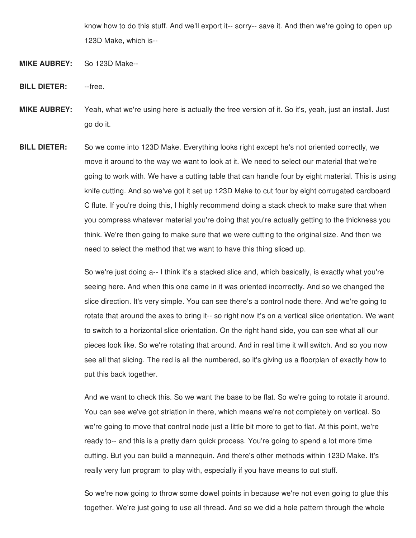know how to do this stuff. And we'll export it-- sorry-- save it. And then we're going to open up 123D Make, which is--

- **MIKE AUBREY:** So 123D Make--
- **BILL DIETER:** --free.
- **MIKE AUBREY:** Yeah, what we're using here is actually the free version of it. So it's, yeah, just an install. Just go do it.
- **BILL DIETER:** So we come into 123D Make. Everything looks right except he's not oriented correctly, we move it around to the way we want to look at it. We need to select our material that we're going to work with. We have a cutting table that can handle four by eight material. This is using knife cutting. And so we've got it set up 123D Make to cut four by eight corrugated cardboard C flute. If you're doing this, I highly recommend doing a stack check to make sure that when you compress whatever material you're doing that you're actually getting to the thickness you think. We're then going to make sure that we were cutting to the original size. And then we need to select the method that we want to have this thing sliced up.

So we're just doing a-- I think it's a stacked slice and, which basically, is exactly what you're seeing here. And when this one came in it was oriented incorrectly. And so we changed the slice direction. It's very simple. You can see there's a control node there. And we're going to rotate that around the axes to bring it-- so right now it's on a vertical slice orientation. We want to switch to a horizontal slice orientation. On the right hand side, you can see what all our pieces look like. So we're rotating that around. And in real time it will switch. And so you now see all that slicing. The red is all the numbered, so it's giving us a floorplan of exactly how to put this back together.

And we want to check this. So we want the base to be flat. So we're going to rotate it around. You can see we've got striation in there, which means we're not completely on vertical. So we're going to move that control node just a little bit more to get to flat. At this point, we're ready to-- and this is a pretty darn quick process. You're going to spend a lot more time cutting. But you can build a mannequin. And there's other methods within 123D Make. It's really very fun program to play with, especially if you have means to cut stuff.

So we're now going to throw some dowel points in because we're not even going to glue this together. We're just going to use all thread. And so we did a hole pattern through the whole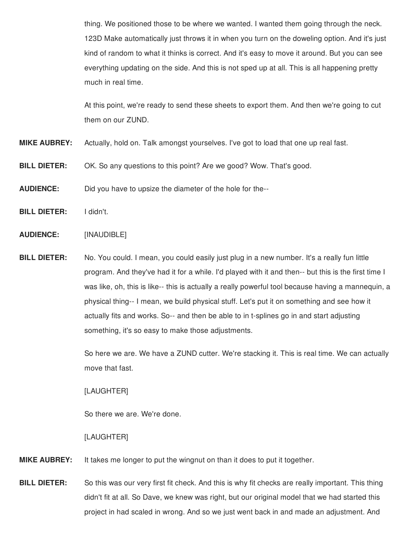thing. We positioned those to be where we wanted. I wanted them going through the neck. 123D Make automatically just throws it in when you turn on the doweling option. And it's just kind of random to what it thinks is correct. And it's easy to move it around. But you can see everything updating on the side. And this is not sped up at all. This is all happening pretty much in real time.

At this point, we're ready to send these sheets to export them. And then we're going to cut them on our ZUND.

- **MIKE AUBREY:** Actually, hold on. Talk amongst yourselves. I've got to load that one up real fast.
- **BILL DIETER:** OK. So any questions to this point? Are we good? Wow. That's good.
- **AUDIENCE:** Did you have to upsize the diameter of the hole for the--
- **BILL DIETER:** I didn't.
- **AUDIENCE:** [INAUDIBLE]
- **BILL DIETER:** No. You could. I mean, you could easily just plug in a new number. It's a really fun little program. And they've had it for a while. I'd played with it and then-- but this is the first time I was like, oh, this is like-- this is actually a really powerful tool because having a mannequin, a physical thing-- I mean, we build physical stuff. Let's put it on something and see how it actually fits and works. So-- and then be able to in t-splines go in and start adjusting something, it's so easy to make those adjustments.

So here we are. We have a ZUND cutter. We're stacking it. This is real time. We can actually move that fast.

## [LAUGHTER]

So there we are. We're done.

### [LAUGHTER]

- **MIKE AUBREY:** It takes me longer to put the wingnut on than it does to put it together.
- **BILL DIETER:** So this was our very first fit check. And this is why fit checks are really important. This thing didn't fit at all. So Dave, we knew was right, but our original model that we had started this project in had scaled in wrong. And so we just went back in and made an adjustment. And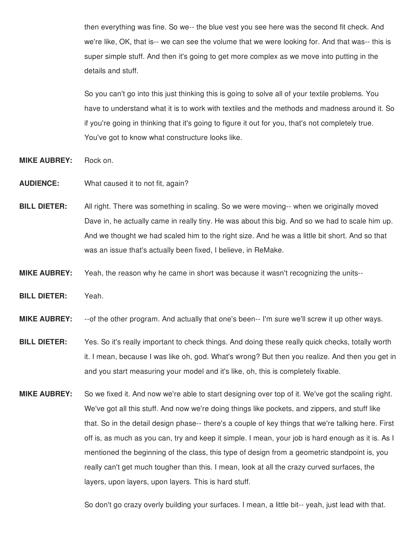then everything was fine. So we-- the blue vest you see here was the second fit check. And we're like, OK, that is-- we can see the volume that we were looking for. And that was-- this is super simple stuff. And then it's going to get more complex as we move into putting in the details and stuff.

So you can't go into this just thinking this is going to solve all of your textile problems. You have to understand what it is to work with textiles and the methods and madness around it. So if you're going in thinking that it's going to figure it out for you, that's not completely true. You've got to know what constructure looks like.

- **MIKE AUBREY:** Rock on.
- **AUDIENCE:** What caused it to not fit, again?
- **BILL DIETER:** All right. There was something in scaling. So we were moving-- when we originally moved Dave in, he actually came in really tiny. He was about this big. And so we had to scale him up. And we thought we had scaled him to the right size. And he was a little bit short. And so that was an issue that's actually been fixed, I believe, in ReMake.
- **MIKE AUBREY:** Yeah, the reason why he came in short was because it wasn't recognizing the units--
- **BILL DIETER:** Yeah.
- **MIKE AUBREY:** --of the other program. And actually that one's been-- I'm sure we'll screw it up other ways.
- **BILL DIETER:** Yes. So it's really important to check things. And doing these really quick checks, totally worth it. I mean, because I was like oh, god. What's wrong? But then you realize. And then you get in and you start measuring your model and it's like, oh, this is completely fixable.
- **MIKE AUBREY:** So we fixed it. And now we're able to start designing over top of it. We've got the scaling right. We've got all this stuff. And now we're doing things like pockets, and zippers, and stuff like that. So in the detail design phase-- there's a couple of key things that we're talking here. First off is, as much as you can, try and keep it simple. I mean, your job is hard enough as it is. As I mentioned the beginning of the class, this type of design from a geometric standpoint is, you really can't get much tougher than this. I mean, look at all the crazy curved surfaces, the layers, upon layers, upon layers. This is hard stuff.

So don't go crazy overly building your surfaces. I mean, a little bit-- yeah, just lead with that.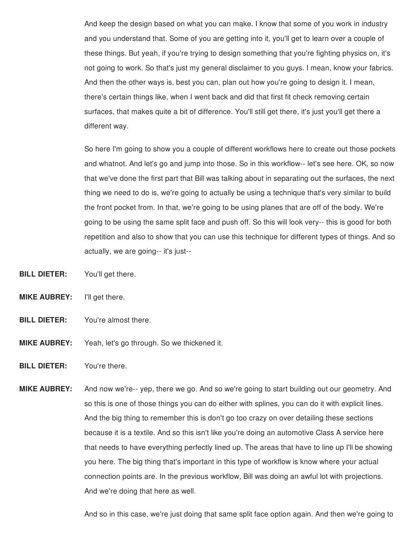And keep the design based on what you can make. I know that some of you work in industry and you understand that. Some of you are getting into it, you'll get to learn over a couple of these things. But yeah, if you're trying to design something that you're fighting physics on, it's not going to work. So that's just my general disclaimer to you guys. I mean, know your fabrics. And then the other ways is, best you can, plan out how you're going to design it. I mean, there's certain things like, when I went back and did that first fit check removing certain surfaces, that makes quite a bit of difference. You'll still get there, it's just you'll get there a different way.

So here I'm going to show you a couple of different workflows here to create out those pockets and whatnot. And let's go and jump into those. So in this workflow-- let's see here. OK, so now that we've done the first part that Bill was talking about in separating out the surfaces, the next thing we need to do is, we're going to actually be using a technique that's very similar to build the front pocket from. In that, we're going to be using planes that are off of the body. We're going to be using the same split face and push off. So this will look very-- this is good for both repetition and also to show that you can use this technique for different types of things. And so actually, we are going-- it's just--

- **BILL DIETER:** You'll get there.
- **MIKE AUBREY:** I'll get there.
- **BILL DIETER:** You're almost there.
- **MIKE AUBREY:** Yeah, let's go through. So we thickened it.
- **BILL DIETER:** You're there.
- **MIKE AUBREY:** And now we're-- yep, there we go. And so we're going to start building out our geometry. And so this is one of those things you can do either with splines, you can do it with explicit lines. And the big thing to remember this is don't go too crazy on over detailing these sections because it is a textile. And so this isn't like you're doing an automotive Class A service here that needs to have everything perfectly lined up. The areas that have to line up I'll be showing you here. The big thing that's important in this type of workflow is know where your actual connection points are. In the previous workflow, Bill was doing an awful lot with projections. And we're doing that here as well.

And so in this case, we're just doing that same split face option again. And then we're going to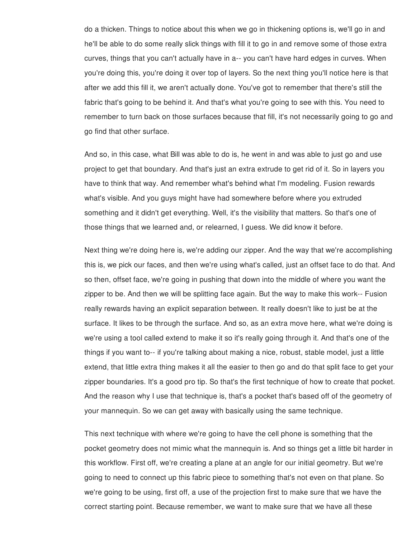do a thicken. Things to notice about this when we go in thickening options is, we'll go in and he'll be able to do some really slick things with fill it to go in and remove some of those extra curves, things that you can't actually have in a-- you can't have hard edges in curves. When you're doing this, you're doing it over top of layers. So the next thing you'll notice here is that after we add this fill it, we aren't actually done. You've got to remember that there's still the fabric that's going to be behind it. And that's what you're going to see with this. You need to remember to turn back on those surfaces because that fill, it's not necessarily going to go and go find that other surface.

And so, in this case, what Bill was able to do is, he went in and was able to just go and use project to get that boundary. And that's just an extra extrude to get rid of it. So in layers you have to think that way. And remember what's behind what I'm modeling. Fusion rewards what's visible. And you guys might have had somewhere before where you extruded something and it didn't get everything. Well, it's the visibility that matters. So that's one of those things that we learned and, or relearned, I guess. We did know it before.

Next thing we're doing here is, we're adding our zipper. And the way that we're accomplishing this is, we pick our faces, and then we're using what's called, just an offset face to do that. And so then, offset face, we're going in pushing that down into the middle of where you want the zipper to be. And then we will be splitting face again. But the way to make this work-- Fusion really rewards having an explicit separation between. It really doesn't like to just be at the surface. It likes to be through the surface. And so, as an extra move here, what we're doing is we're using a tool called extend to make it so it's really going through it. And that's one of the things if you want to-- if you're talking about making a nice, robust, stable model, just a little extend, that little extra thing makes it all the easier to then go and do that split face to get your zipper boundaries. It's a good pro tip. So that's the first technique of how to create that pocket. And the reason why I use that technique is, that's a pocket that's based off of the geometry of your mannequin. So we can get away with basically using the same technique.

This next technique with where we're going to have the cell phone is something that the pocket geometry does not mimic what the mannequin is. And so things get a little bit harder in this workflow. First off, we're creating a plane at an angle for our initial geometry. But we're going to need to connect up this fabric piece to something that's not even on that plane. So we're going to be using, first off, a use of the projection first to make sure that we have the correct starting point. Because remember, we want to make sure that we have all these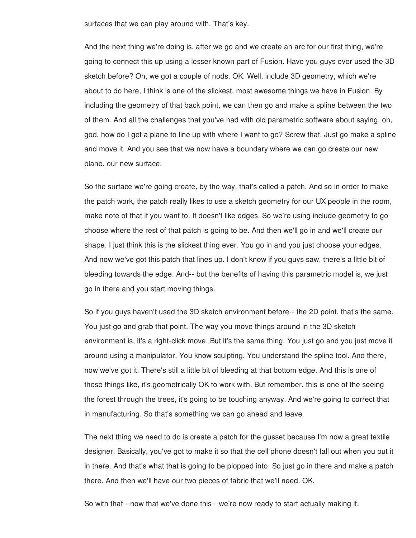surfaces that we can play around with. That's key.

And the next thing we're doing is, after we go and we create an arc for our first thing, we're going to connect this up using a lesser known part of Fusion. Have you guys ever used the 3D sketch before? Oh, we got a couple of nods. OK. Well, include 3D geometry, which we're about to do here, I think is one of the slickest, most awesome things we have in Fusion. By including the geometry of that back point, we can then go and make a spline between the two of them. And all the challenges that you've had with old parametric software about saying, oh, god, how do I get a plane to line up with where I want to go? Screw that. Just go make a spline and move it. And you see that we now have a boundary where we can go create our new plane, our new surface.

So the surface we're going create, by the way, that's called a patch. And so in order to make the patch work, the patch really likes to use a sketch geometry for our UX people in the room, make note of that if you want to. It doesn't like edges. So we're using include geometry to go choose where the rest of that patch is going to be. And then we'll go in and we'll create our shape. I just think this is the slickest thing ever. You go in and you just choose your edges. And now we've got this patch that lines up. I don't know if you guys saw, there's a little bit of bleeding towards the edge. And-- but the benefits of having this parametric model is, we just go in there and you start moving things.

So if you guys haven't used the 3D sketch environment before-- the 2D point, that's the same. You just go and grab that point. The way you move things around in the 3D sketch environment is, it's a right-click move. But it's the same thing. You just go and you just move it around using a manipulator. You know sculpting. You understand the spline tool. And there, now we've got it. There's still a little bit of bleeding at that bottom edge. And this is one of those things like, it's geometrically OK to work with. But remember, this is one of the seeing the forest through the trees, it's going to be touching anyway. And we're going to correct that in manufacturing. So that's something we can go ahead and leave.

The next thing we need to do is create a patch for the gusset because I'm now a great textile designer. Basically, you've got to make it so that the cell phone doesn't fall out when you put it in there. And that's what that is going to be plopped into. So just go in there and make a patch there. And then we'll have our two pieces of fabric that we'll need. OK.

So with that-- now that we've done this-- we're now ready to start actually making it.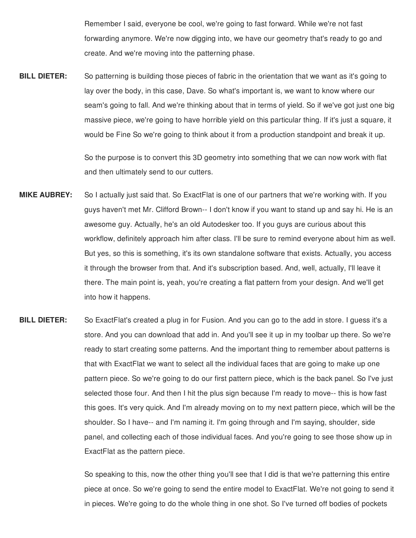Remember I said, everyone be cool, we're going to fast forward. While we're not fast forwarding anymore. We're now digging into, we have our geometry that's ready to go and create. And we're moving into the patterning phase.

**BILL DIETER:** So patterning is building those pieces of fabric in the orientation that we want as it's going to lay over the body, in this case, Dave. So what's important is, we want to know where our seam's going to fall. And we're thinking about that in terms of yield. So if we've got just one big massive piece, we're going to have horrible yield on this particular thing. If it's just a square, it would be Fine So we're going to think about it from a production standpoint and break it up.

> So the purpose is to convert this 3D geometry into something that we can now work with flat and then ultimately send to our cutters.

- **MIKE AUBREY:** So I actually just said that. So ExactFlat is one of our partners that we're working with. If you guys haven't met Mr. Clifford Brown-- I don't know if you want to stand up and say hi. He is an awesome guy. Actually, he's an old Autodesker too. If you guys are curious about this workflow, definitely approach him after class. I'll be sure to remind everyone about him as well. But yes, so this is something, it's its own standalone software that exists. Actually, you access it through the browser from that. And it's subscription based. And, well, actually, I'll leave it there. The main point is, yeah, you're creating a flat pattern from your design. And we'll get into how it happens.
- **BILL DIETER:** So ExactFlat's created a plug in for Fusion. And you can go to the add in store. I guess it's a store. And you can download that add in. And you'll see it up in my toolbar up there. So we're ready to start creating some patterns. And the important thing to remember about patterns is that with ExactFlat we want to select all the individual faces that are going to make up one pattern piece. So we're going to do our first pattern piece, which is the back panel. So I've just selected those four. And then I hit the plus sign because I'm ready to move-- this is how fast this goes. It's very quick. And I'm already moving on to my next pattern piece, which will be the shoulder. So I have-- and I'm naming it. I'm going through and I'm saying, shoulder, side panel, and collecting each of those individual faces. And you're going to see those show up in ExactFlat as the pattern piece.

So speaking to this, now the other thing you'll see that I did is that we're patterning this entire piece at once. So we're going to send the entire model to ExactFlat. We're not going to send it in pieces. We're going to do the whole thing in one shot. So I've turned off bodies of pockets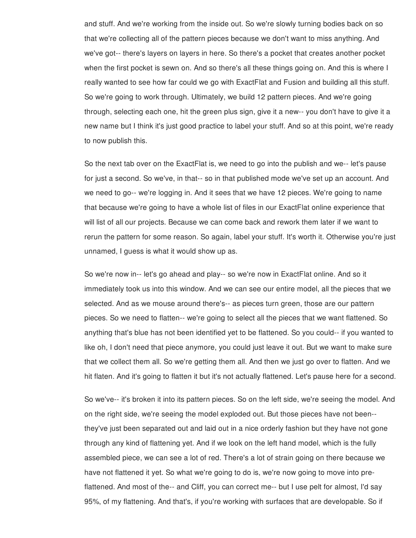and stuff. And we're working from the inside out. So we're slowly turning bodies back on so that we're collecting all of the pattern pieces because we don't want to miss anything. And we've got-- there's layers on layers in here. So there's a pocket that creates another pocket when the first pocket is sewn on. And so there's all these things going on. And this is where I really wanted to see how far could we go with ExactFlat and Fusion and building all this stuff. So we're going to work through. Ultimately, we build 12 pattern pieces. And we're going through, selecting each one, hit the green plus sign, give it a new-- you don't have to give it a new name but I think it's just good practice to label your stuff. And so at this point, we're ready to now publish this.

So the next tab over on the ExactFlat is, we need to go into the publish and we-- let's pause for just a second. So we've, in that-- so in that published mode we've set up an account. And we need to go-- we're logging in. And it sees that we have 12 pieces. We're going to name that because we're going to have a whole list of files in our ExactFlat online experience that will list of all our projects. Because we can come back and rework them later if we want to rerun the pattern for some reason. So again, label your stuff. It's worth it. Otherwise you're just unnamed, I guess is what it would show up as.

So we're now in-- let's go ahead and play-- so we're now in ExactFlat online. And so it immediately took us into this window. And we can see our entire model, all the pieces that we selected. And as we mouse around there's-- as pieces turn green, those are our pattern pieces. So we need to flatten-- we're going to select all the pieces that we want flattened. So anything that's blue has not been identified yet to be flattened. So you could-- if you wanted to like oh, I don't need that piece anymore, you could just leave it out. But we want to make sure that we collect them all. So we're getting them all. And then we just go over to flatten. And we hit flaten. And it's going to flatten it but it's not actually flattened. Let's pause here for a second.

So we've-- it's broken it into its pattern pieces. So on the left side, we're seeing the model. And on the right side, we're seeing the model exploded out. But those pieces have not been- they've just been separated out and laid out in a nice orderly fashion but they have not gone through any kind of flattening yet. And if we look on the left hand model, which is the fully assembled piece, we can see a lot of red. There's a lot of strain going on there because we have not flattened it yet. So what we're going to do is, we're now going to move into preflattened. And most of the-- and Cliff, you can correct me-- but I use pelt for almost, I'd say 95%, of my flattening. And that's, if you're working with surfaces that are developable. So if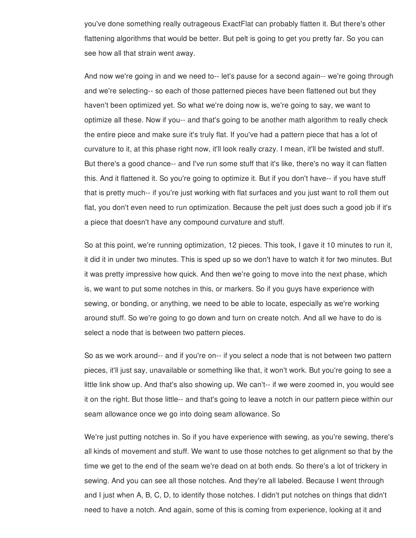you've done something really outrageous ExactFlat can probably flatten it. But there's other flattening algorithms that would be better. But pelt is going to get you pretty far. So you can see how all that strain went away.

And now we're going in and we need to-- let's pause for a second again-- we're going through and we're selecting-- so each of those patterned pieces have been flattened out but they haven't been optimized yet. So what we're doing now is, we're going to say, we want to optimize all these. Now if you-- and that's going to be another math algorithm to really check the entire piece and make sure it's truly flat. If you've had a pattern piece that has a lot of curvature to it, at this phase right now, it'll look really crazy. I mean, it'll be twisted and stuff. But there's a good chance-- and I've run some stuff that it's like, there's no way it can flatten this. And it flattened it. So you're going to optimize it. But if you don't have-- if you have stuff that is pretty much-- if you're just working with flat surfaces and you just want to roll them out flat, you don't even need to run optimization. Because the pelt just does such a good job if it's a piece that doesn't have any compound curvature and stuff.

So at this point, we're running optimization, 12 pieces. This took, I gave it 10 minutes to run it, it did it in under two minutes. This is sped up so we don't have to watch it for two minutes. But it was pretty impressive how quick. And then we're going to move into the next phase, which is, we want to put some notches in this, or markers. So if you guys have experience with sewing, or bonding, or anything, we need to be able to locate, especially as we're working around stuff. So we're going to go down and turn on create notch. And all we have to do is select a node that is between two pattern pieces.

So as we work around-- and if you're on-- if you select a node that is not between two pattern pieces, it'll just say, unavailable or something like that, it won't work. But you're going to see a little link show up. And that's also showing up. We can't-- if we were zoomed in, you would see it on the right. But those little-- and that's going to leave a notch in our pattern piece within our seam allowance once we go into doing seam allowance. So

We're just putting notches in. So if you have experience with sewing, as you're sewing, there's all kinds of movement and stuff. We want to use those notches to get alignment so that by the time we get to the end of the seam we're dead on at both ends. So there's a lot of trickery in sewing. And you can see all those notches. And they're all labeled. Because I went through and I just when A, B, C, D, to identify those notches. I didn't put notches on things that didn't need to have a notch. And again, some of this is coming from experience, looking at it and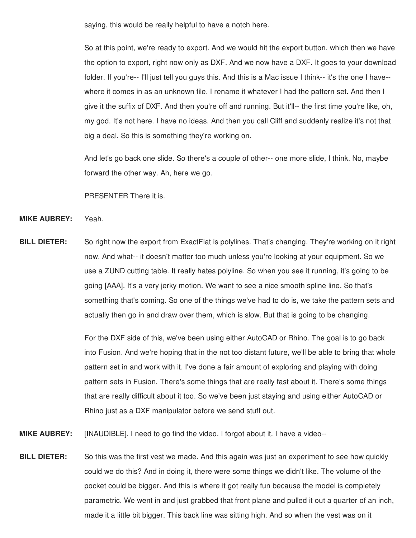saying, this would be really helpful to have a notch here.

So at this point, we're ready to export. And we would hit the export button, which then we have the option to export, right now only as DXF. And we now have a DXF. It goes to your download folder. If you're-- I'll just tell you guys this. And this is a Mac issue I think-- it's the one I have- where it comes in as an unknown file. I rename it whatever I had the pattern set. And then I give it the suffix of DXF. And then you're off and running. But it'll-- the first time you're like, oh, my god. It's not here. I have no ideas. And then you call Cliff and suddenly realize it's not that big a deal. So this is something they're working on.

And let's go back one slide. So there's a couple of other-- one more slide, I think. No, maybe forward the other way. Ah, here we go.

PRESENTER There it is.

- **MIKE AUBREY:** Yeah.
- **BILL DIETER:** So right now the export from ExactFlat is polylines. That's changing. They're working on it right now. And what-- it doesn't matter too much unless you're looking at your equipment. So we use a ZUND cutting table. It really hates polyline. So when you see it running, it's going to be going [AAA]. It's a very jerky motion. We want to see a nice smooth spline line. So that's something that's coming. So one of the things we've had to do is, we take the pattern sets and actually then go in and draw over them, which is slow. But that is going to be changing.

For the DXF side of this, we've been using either AutoCAD or Rhino. The goal is to go back into Fusion. And we're hoping that in the not too distant future, we'll be able to bring that whole pattern set in and work with it. I've done a fair amount of exploring and playing with doing pattern sets in Fusion. There's some things that are really fast about it. There's some things that are really difficult about it too. So we've been just staying and using either AutoCAD or Rhino just as a DXF manipulator before we send stuff out.

- **MIKE AUBREY:** [INAUDIBLE]. I need to go find the video. I forgot about it. I have a video--
- **BILL DIETER:** So this was the first vest we made. And this again was just an experiment to see how quickly could we do this? And in doing it, there were some things we didn't like. The volume of the pocket could be bigger. And this is where it got really fun because the model is completely parametric. We went in and just grabbed that front plane and pulled it out a quarter of an inch, made it a little bit bigger. This back line was sitting high. And so when the vest was on it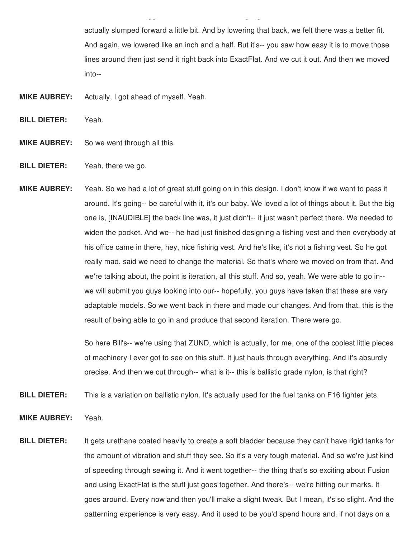actually slumped forward a little bit. And by lowering that back, we felt there was a better fit. And again, we lowered like an inch and a half. But it's-- you saw how easy it is to move those lines around then just send it right back into ExactFlat. And we cut it out. And then we moved into--

made it a little bigger. This back little bigger. This back line was sitting high. And so when the vest was on<br>This back little bigger. And so when the vest was on it and so when the vest was on it and so when the vest wa

**MIKE AUBREY:** Actually, I got ahead of myself. Yeah.

**BILL DIETER:** Yeah.

- **MIKE AUBREY:** So we went through all this.
- **BILL DIETER:** Yeah, there we go.
- **MIKE AUBREY:** Yeah. So we had a lot of great stuff going on in this design. I don't know if we want to pass it around. It's going-- be careful with it, it's our baby. We loved a lot of things about it. But the big one is, [INAUDIBLE] the back line was, it just didn't-- it just wasn't perfect there. We needed to widen the pocket. And we-- he had just finished designing a fishing vest and then everybody at his office came in there, hey, nice fishing vest. And he's like, it's not a fishing vest. So he got really mad, said we need to change the material. So that's where we moved on from that. And we're talking about, the point is iteration, all this stuff. And so, yeah. We were able to go in- we will submit you guys looking into our-- hopefully, you guys have taken that these are very adaptable models. So we went back in there and made our changes. And from that, this is the result of being able to go in and produce that second iteration. There were go.

So here Bill's-- we're using that ZUND, which is actually, for me, one of the coolest little pieces of machinery I ever got to see on this stuff. It just hauls through everything. And it's absurdly precise. And then we cut through-- what is it-- this is ballistic grade nylon, is that right?

**BILL DIETER:** This is a variation on ballistic nylon. It's actually used for the fuel tanks on F16 fighter jets.

- **MIKE AUBREY:** Yeah.
- **BILL DIETER:** It gets urethane coated heavily to create a soft bladder because they can't have rigid tanks for the amount of vibration and stuff they see. So it's a very tough material. And so we're just kind of speeding through sewing it. And it went together-- the thing that's so exciting about Fusion and using ExactFlat is the stuff just goes together. And there's-- we're hitting our marks. It goes around. Every now and then you'll make a slight tweak. But I mean, it's so slight. And the patterning experience is very easy. And it used to be you'd spend hours and, if not days on a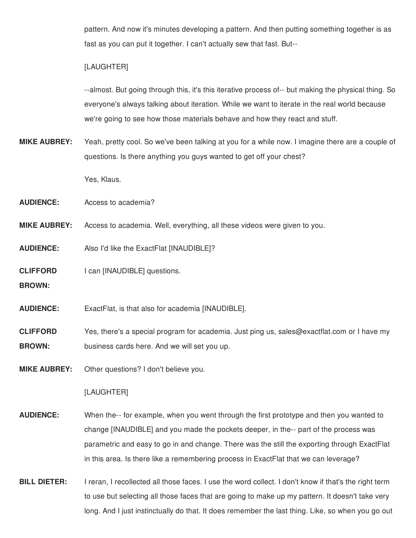pattern. And now it's minutes developing a pattern. And then putting something together is as fast as you can put it together. I can't actually sew that fast. But--

# [LAUGHTER]

--almost. But going through this, it's this iterative process of-- but making the physical thing. So everyone's always talking about iteration. While we want to iterate in the real world because we're going to see how those materials behave and how they react and stuff.

**MIKE AUBREY:** Yeah, pretty cool. So we've been talking at you for a while now. I imagine there are a couple of questions. Is there anything you guys wanted to get off your chest?

Yes, Klaus.

**AUDIENCE:** Access to academia?

- **MIKE AUBREY:** Access to academia. Well, everything, all these videos were given to you.
- **AUDIENCE:** Also I'd like the ExactFlat [INAUDIBLE]?

**CLIFFORD** I can [INAUDIBLE] questions.

**BROWN:**

- **AUDIENCE:** ExactFlat, is that also for academia [INAUDIBLE].
- **CLIFFORD BROWN:** Yes, there's a special program for academia. Just ping us, sales@exactflat.com or I have my business cards here. And we will set you up.

**MIKE AUBREY:** Other questions? I don't believe you.

### [LAUGHTER]

- **AUDIENCE:** When the-- for example, when you went through the first prototype and then you wanted to change [INAUDIBLE] and you made the pockets deeper, in the-- part of the process was parametric and easy to go in and change. There was the still the exporting through ExactFlat in this area. Is there like a remembering process in ExactFlat that we can leverage?
- **BILL DIETER:** I reran, I recollected all those faces. I use the word collect. I don't know if that's the right term to use but selecting all those faces that are going to make up my pattern. It doesn't take very long. And I just instinctually do that. It does remember the last thing. Like, so when you go out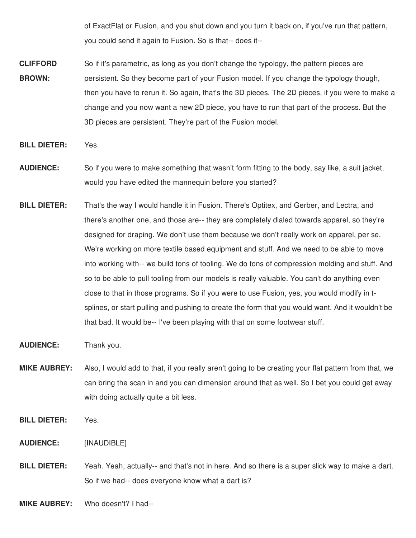of ExactFlat or Fusion, and you shut down and you turn it back on, if you've run that pattern, you could send it again to Fusion. So is that-- does it--

- **CLIFFORD BROWN:** So if it's parametric, as long as you don't change the typology, the pattern pieces are persistent. So they become part of your Fusion model. If you change the typology though, then you have to rerun it. So again, that's the 3D pieces. The 2D pieces, if you were to make a change and you now want a new 2D piece, you have to run that part of the process. But the 3D pieces are persistent. They're part of the Fusion model.
- **BILL DIETER:** Yes.
- **AUDIENCE:** So if you were to make something that wasn't form fitting to the body, say like, a suit jacket, would you have edited the mannequin before you started?
- **BILL DIETER:** That's the way I would handle it in Fusion. There's Optitex, and Gerber, and Lectra, and there's another one, and those are-- they are completely dialed towards apparel, so they're designed for draping. We don't use them because we don't really work on apparel, per se. We're working on more textile based equipment and stuff. And we need to be able to move into working with-- we build tons of tooling. We do tons of compression molding and stuff. And so to be able to pull tooling from our models is really valuable. You can't do anything even close to that in those programs. So if you were to use Fusion, yes, you would modify in tsplines, or start pulling and pushing to create the form that you would want. And it wouldn't be that bad. It would be-- I've been playing with that on some footwear stuff.
- **AUDIENCE:** Thank you.
- **MIKE AUBREY:** Also, I would add to that, if you really aren't going to be creating your flat pattern from that, we can bring the scan in and you can dimension around that as well. So I bet you could get away with doing actually quite a bit less.
- **BILL DIETER:** Yes.
- **AUDIENCE:** [INAUDIBLE]
- **BILL DIETER:** Yeah. Yeah, actually-- and that's not in here. And so there is a super slick way to make a dart. So if we had-- does everyone know what a dart is?
- **MIKE AUBREY:** Who doesn't? I had--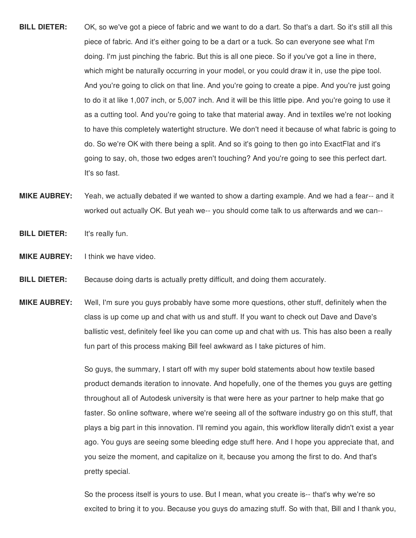- **BILL DIETER:** OK, so we've got a piece of fabric and we want to do a dart. So that's a dart. So it's still all this piece of fabric. And it's either going to be a dart or a tuck. So can everyone see what I'm doing. I'm just pinching the fabric. But this is all one piece. So if you've got a line in there, which might be naturally occurring in your model, or you could draw it in, use the pipe tool. And you're going to click on that line. And you're going to create a pipe. And you're just going to do it at like 1,007 inch, or 5,007 inch. And it will be this little pipe. And you're going to use it as a cutting tool. And you're going to take that material away. And in textiles we're not looking to have this completely watertight structure. We don't need it because of what fabric is going to do. So we're OK with there being a split. And so it's going to then go into ExactFlat and it's going to say, oh, those two edges aren't touching? And you're going to see this perfect dart. It's so fast.
- **MIKE AUBREY:** Yeah, we actually debated if we wanted to show a darting example. And we had a fear-- and it worked out actually OK. But yeah we-- you should come talk to us afterwards and we can--
- **BILL DIETER:** It's really fun.
- **MIKE AUBREY:** I think we have video.
- **BILL DIETER:** Because doing darts is actually pretty difficult, and doing them accurately.
- **MIKE AUBREY:** Well, I'm sure you guys probably have some more questions, other stuff, definitely when the class is up come up and chat with us and stuff. If you want to check out Dave and Dave's ballistic vest, definitely feel like you can come up and chat with us. This has also been a really fun part of this process making Bill feel awkward as I take pictures of him.

So guys, the summary, I start off with my super bold statements about how textile based product demands iteration to innovate. And hopefully, one of the themes you guys are getting throughout all of Autodesk university is that were here as your partner to help make that go faster. So online software, where we're seeing all of the software industry go on this stuff, that plays a big part in this innovation. I'll remind you again, this workflow literally didn't exist a year ago. You guys are seeing some bleeding edge stuff here. And I hope you appreciate that, and you seize the moment, and capitalize on it, because you among the first to do. And that's pretty special.

So the process itself is yours to use. But I mean, what you create is-- that's why we're so excited to bring it to you. Because you guys do amazing stuff. So with that, Bill and I thank you,